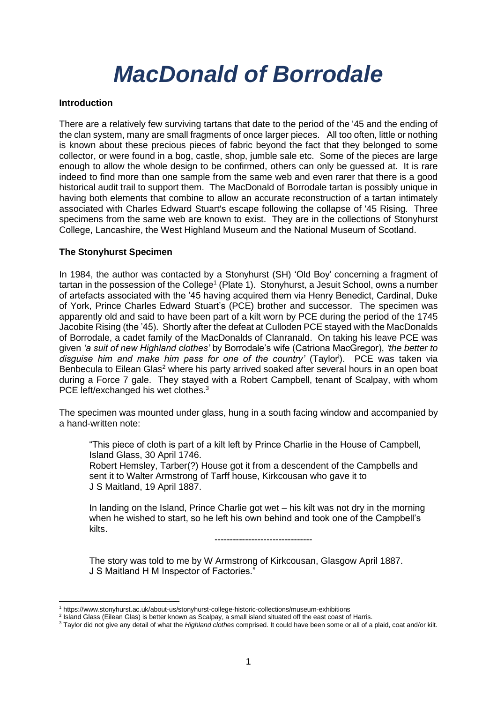# *MacDonald of Borrodale*

#### **Introduction**

There are a relatively few surviving tartans that date to the period of the '45 and the ending of the clan system, many are small fragments of once larger pieces. All too often, little or nothing is known about these precious pieces of fabric beyond the fact that they belonged to some collector, or were found in a bog, castle, shop, jumble sale etc. Some of the pieces are large enough to allow the whole design to be confirmed, others can only be guessed at. It is rare indeed to find more than one sample from the same web and even rarer that there is a good historical audit trail to support them. The MacDonald of Borrodale tartan is possibly unique in having both elements that combine to allow an accurate reconstruction of a tartan intimately associated with Charles Edward Stuart's escape following the collapse of '45 Rising. Three specimens from the same web are known to exist. They are in the collections of Stonyhurst College, Lancashire, the West Highland Museum and the National Museum of Scotland.

## **The Stonyhurst Specimen**

In 1984, the author was contacted by a Stonyhurst (SH) 'Old Boy' concerning a fragment of tartan in the possession of the College<sup>1</sup> (Plate 1). Stonyhurst, a Jesuit School, owns a number of artefacts associated with the '45 having acquired them via Henry Benedict, Cardinal, Duke of York, Prince Charles Edward Stuart's (PCE) brother and successor. The specimen was apparently old and said to have been part of a kilt worn by PCE during the period of the 1745 Jacobite Rising (the '45). Shortly after the defeat at Culloden PCE stayed with the MacDonalds of Borrodale, a cadet family of the MacDonalds of Clanranald. On taking his leave PCE was given *'a suit of new Highland clothes'* by Borrodale's wife (Catriona MacGregor), *'the better to disguise him and make him pass for one of the country'* (Taylor<sup>i</sup> ). PCE was taken via Benbecula to Eilean Glas<sup>2</sup> where his party arrived soaked after several hours in an open boat during a Force 7 gale. They stayed with a Robert Campbell, tenant of Scalpay, with whom PCE left/exchanged his wet clothes.<sup>3</sup>

The specimen was mounted under glass, hung in a south facing window and accompanied by a hand-written note:

"This piece of cloth is part of a kilt left by Prince Charlie in the House of Campbell, Island Glass, 30 April 1746.

Robert Hemsley, Tarber(?) House got it from a descendent of the Campbells and sent it to Walter Armstrong of Tarff house, Kirkcousan who gave it to J S Maitland, 19 April 1887.

In landing on the Island, Prince Charlie got wet – his kilt was not dry in the morning when he wished to start, so he left his own behind and took one of the Campbell's kilts.

--------------------------------

The story was told to me by W Armstrong of Kirkcousan, Glasgow April 1887. J S Maitland H M Inspector of Factories."

<sup>1</sup> https://www.stonyhurst.ac.uk/about-us/stonyhurst-college-historic-collections/museum-exhibitions

<sup>&</sup>lt;sup>2</sup> Island Glass (Eilean Glas) is better known as Scalpay, a small island situated off the east coast of Harris.

<sup>3</sup> Taylor did not give any detail of what the *Highland clothes* comprised. It could have been some or all of a plaid, coat and/or kilt.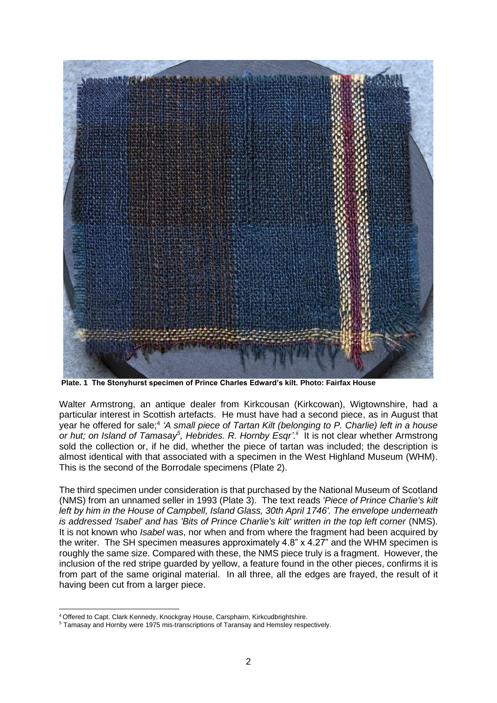

**Plate. 1 The Stonyhurst specimen of Prince Charles Edward's kilt. Photo: Fairfax House**

Walter Armstrong, an antique dealer from Kirkcousan (Kirkcowan), Wigtownshire, had a particular interest in Scottish artefacts. He must have had a second piece, as in August that year he offered for sale;<sup>4</sup> *'A small piece of Tartan Kilt (belonging to P. Charlie) left in a house* or hut; on Island of Tamasay<sup>5</sup>, Hebrides. R. Hornby Esqr'.<sup>"</sup> It is not clear whether Armstrong sold the collection or, if he did, whether the piece of tartan was included; the description is almost identical with that associated with a specimen in the West Highland Museum (WHM). This is the second of the Borrodale specimens (Plate 2).

The third specimen under consideration is that purchased by the National Museum of Scotland (NMS) from an unnamed seller in 1993 (Plate 3). The text reads *'Piece of Prince Charlie's kilt left by him in the House of Campbell, Island Glass, 30th April 1746'. The envelope underneath is addressed 'Isabel' and has 'Bits of Prince Charlie's kilt' written in the top left corner* (NMS). It is not known who *Isabel* was, nor when and from where the fragment had been acquired by the writer. The SH specimen measures approximately 4.8" x 4.27" and the WHM specimen is roughly the same size. Compared with these, the NMS piece truly is a fragment. However, the inclusion of the red stripe guarded by yellow, a feature found in the other pieces, confirms it is from part of the same original material. In all three, all the edges are frayed, the result of it having been cut from a larger piece.

<sup>&</sup>lt;sup>4</sup> Offered to Capt. Clark Kennedy, Knockgray House, Carsphairn, Kirkcudbrightshire.

<sup>5</sup> Tamasay and Hornby were 1975 mis-transcriptions of Taransay and Hemsley respectively.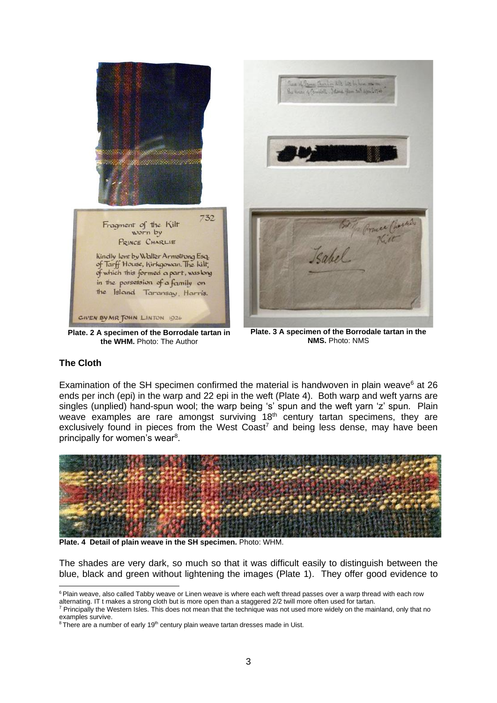

**Plate. 2 A specimen of the Borrodale tartan in the WHM.** Photo: The Author

**Plate. 3 A specimen of the Borrodale tartan in the NMS.** Photo: NMS

## **The Cloth**

Examination of the SH specimen confirmed the material is handwoven in plain weave $6$  at 26 ends per inch (epi) in the warp and 22 epi in the weft (Plate 4). Both warp and weft yarns are singles (unplied) hand-spun wool; the warp being 's' spun and the weft yarn 'z' spun. Plain weave examples are rare amongst surviving  $18<sup>th</sup>$  century tartan specimens, they are exclusively found in pieces from the West  $\text{Coast}^7$  and being less dense, may have been principally for women's wear<sup>8</sup>.



**Plate. 4 Detail of plain weave in the SH specimen.** Photo: WHM.

The shades are very dark, so much so that it was difficult easily to distinguish between the blue, black and green without lightening the images (Plate 1). They offer good evidence to

<sup>&</sup>lt;sup>6</sup> Plain weave, also called Tabby weave or Linen weave is where each weft thread passes over a warp thread with each row alternating. IT t makes a strong cloth but is more open than a staggered 2/2 twill more often used for tartan.

<sup>&</sup>lt;sup>7</sup> Principally the Western Isles. This does not mean that the technique was not used more widely on the mainland, only that no examples survive.

<sup>&</sup>lt;sup>8</sup> There are a number of early 19<sup>th</sup> century plain weave tartan dresses made in Uist.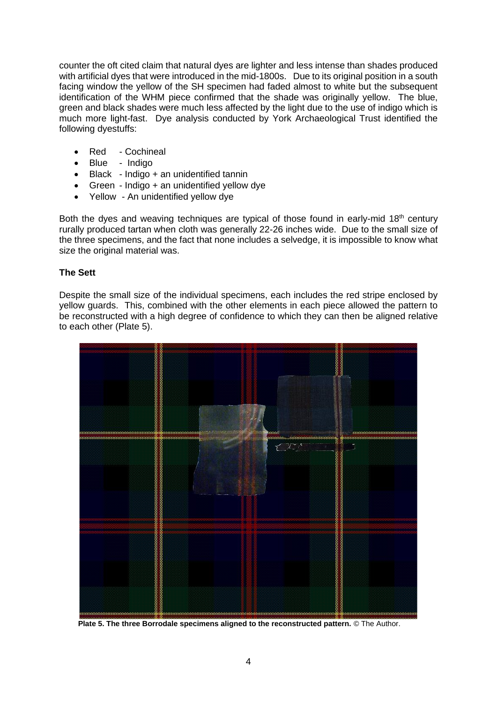counter the oft cited claim that natural dyes are lighter and less intense than shades produced with artificial dyes that were introduced in the mid-1800s. Due to its original position in a south facing window the yellow of the SH specimen had faded almost to white but the subsequent identification of the WHM piece confirmed that the shade was originally yellow. The blue, green and black shades were much less affected by the light due to the use of indigo which is much more light-fast. Dye analysis conducted by York Archaeological Trust identified the following dyestuffs:

- Red Cochineal
- Blue Indigo
- Black Indigo + an unidentified tannin
- Green Indigo + an unidentified yellow dye
- Yellow An unidentified yellow dye

Both the dyes and weaving techniques are typical of those found in early-mid 18<sup>th</sup> century rurally produced tartan when cloth was generally 22-26 inches wide. Due to the small size of the three specimens, and the fact that none includes a selvedge, it is impossible to know what size the original material was.

## **The Sett**

Despite the small size of the individual specimens, each includes the red stripe enclosed by yellow guards. This, combined with the other elements in each piece allowed the pattern to be reconstructed with a high degree of confidence to which they can then be aligned relative to each other (Plate 5).



 **Plate 5. The three Borrodale specimens aligned to the reconstructed pattern.** © The Author.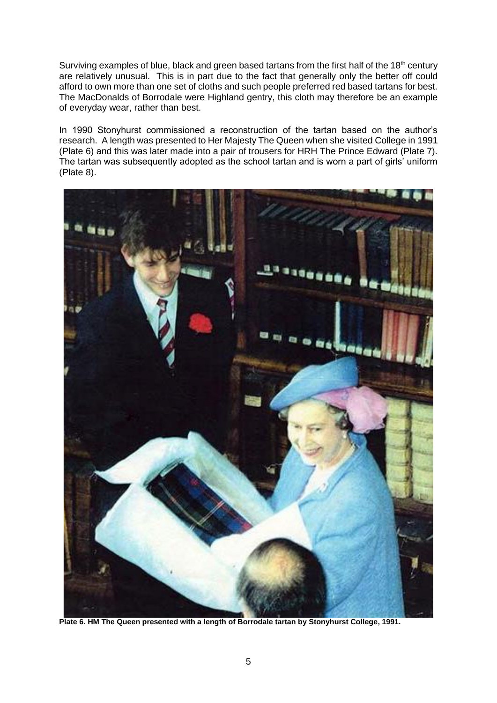Surviving examples of blue, black and green based tartans from the first half of the 18<sup>th</sup> century are relatively unusual. This is in part due to the fact that generally only the better off could afford to own more than one set of cloths and such people preferred red based tartans for best. The MacDonalds of Borrodale were Highland gentry, this cloth may therefore be an example of everyday wear, rather than best.

In 1990 Stonyhurst commissioned a reconstruction of the tartan based on the author's research. A length was presented to Her Majesty The Queen when she visited College in 1991 (Plate 6) and this was later made into a pair of trousers for HRH The Prince Edward (Plate 7). The tartan was subsequently adopted as the school tartan and is worn a part of girls' uniform (Plate 8).



**Plate 6. HM The Queen presented with a length of Borrodale tartan by Stonyhurst College, 1991.**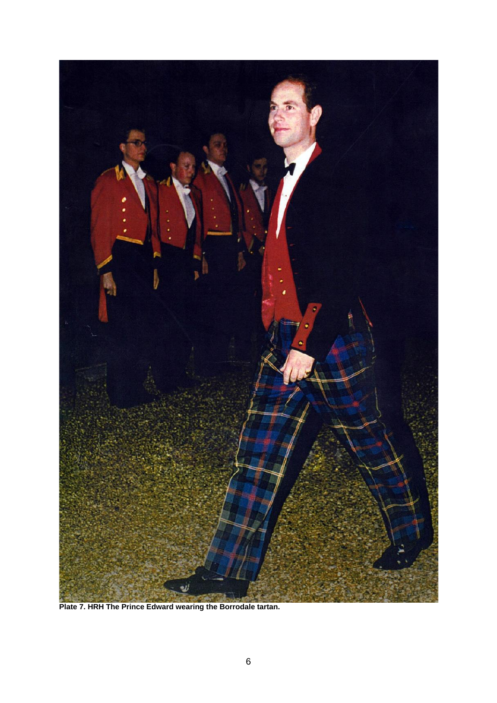

**Plate 7. HRH The Prince Edward wearing the Borrodale tartan.**